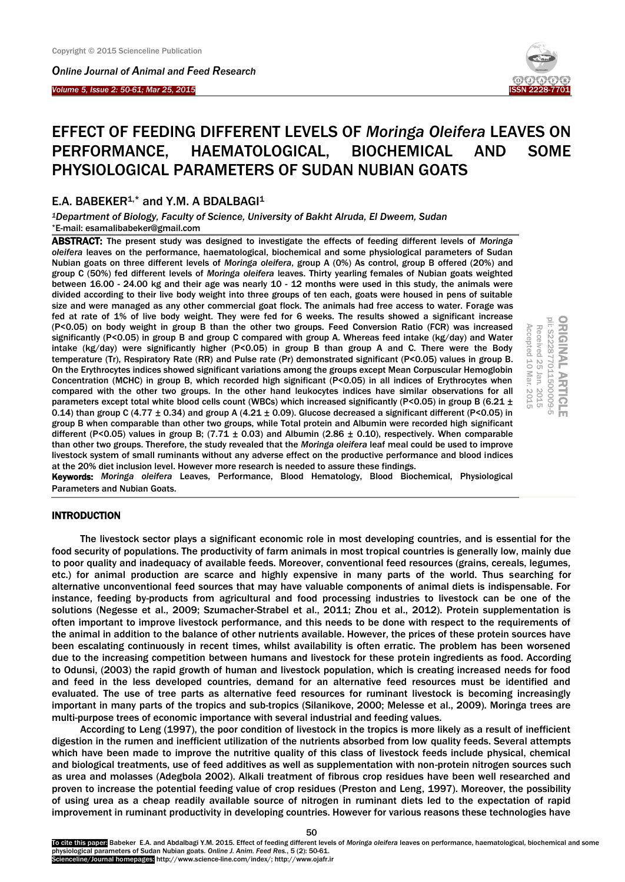*Online Journal of Animal and Feed Research* 

#### *Volume 5, Issue 2: 50-61; Mar 25, 2015*  Ī



# EFFECT OF FEEDING DIFFERENT LEVELS OF *Moringa Oleifera* LEAVES ON PERFORMANCE, HAEMATOLOGICAL, BIOCHEMICAL AND SOME PHYSIOLOGICAL PARAMETERS OF SUDAN NUBIAN GOATS

# E.A. BABEKER<sup>1,\*</sup> and Y.M. A BDALBAGI<sup>1</sup>

*<sup>1</sup>Department of Biology, Faculty of Science, University of Bakht Alruda, El Dweem, Sudan* \*E-mail[: esamalibabeker@gmail.com](mailto:esamalibabeker@gmail.com)

ABSTRACT: The present study was designed to investigate the effects of feeding different levels of *Moringa oleifera* leaves on the performance, haematological, biochemical and some physiological parameters of Sudan Nubian goats on three different levels of *Moringa oleifera*, group A (0%) As control, group B offered (20%) and group C (50%) fed different levels of *Moringa oleifera* leaves. Thirty yearling females of Nubian goats weighted between 16.00 - 24.00 kg and their age was nearly 10 - 12 months were used in this study, the animals were divided according to their live body weight into three groups of ten each, goats were housed in pens of suitable size and were managed as any other commercial goat flock. The animals had free access to water. Forage was fed at rate of 1% of live body weight. They were fed for 6 weeks. The results showed a significant increase (P<0.05) on body weight in group B than the other two groups. Feed Conversion Ratio (FCR) was increased significantly (P<0.05) in group B and group C compared with group A. Whereas feed intake (kg/day) and Water intake (kg/day) were significantly higher (P<0.05) in group B than group A and C. There were the Body temperature (Tr), Respiratory Rate (RR) and Pulse rate (Pr) demonstrated significant (P<0.05) values in group B. On the Erythrocytes indices showed significant variations among the groups except Mean Corpuscular Hemoglobin Concentration (MCHC) in group B, which recorded high significant (P<0.05) in all indices of Erythrocytes when compared with the other two groups. In the other hand leukocytes indices have similar observations for all parameters except total white blood cells count (WBCs) which increased significantly (P<0.05) in group B (6.21  $\pm$ 0.14) than group C (4.77  $\pm$  0.34) and group A (4.21  $\pm$  0.09). Glucose decreased a significant different (P<0.05) in group B when comparable than other two groups, while Total protein and Albumin were recorded high significant different (P<0.05) values in group B; (7.71  $\pm$  0.03) and Albumin (2.86  $\pm$  0.10), respectively. When comparable than other two groups. Therefore, the study revealed that the *Moringa oleifera* leaf meal could be used to improve livestock system of small ruminants without any adverse effect on the productive performance and blood indices at the 20% diet inclusion level. However more research is needed to assure these findings. First rate of the other buy weight, high year of the red of the wests. The results showed a significant increased a significantly (P<0.05) in group B and group C compared with group A. Whereas feed intake (kg/day) and Wat



Keywords: *Moringa oleifera* Leaves, Performance, Blood Hematology, Blood Biochemical, Physiological

## INTRODUCTION

The livestock sector plays a significant economic role in most developing countries, and is essential for the food security of populations. The productivity of farm animals in most tropical countries is generally low, mainly due to poor quality and inadequacy of available feeds. Moreover, conventional feed resources (grains, cereals, legumes, etc.) for animal production are scarce and highly expensive in many parts of the world. Thus searching for alternative unconventional feed sources that may have valuable components of animal diets is indispensable. For instance, feeding by-products from agricultural and food processing industries to livestock can be one of the solutions (Negesse et al., 2009; Szumacher-Strabel et al., 2011; Zhou et al., 2012). Protein supplementation is often important to improve livestock performance, and this needs to be done with respect to the requirements of the animal in addition to the balance of other nutrients available. However, the prices of these protein sources have been escalating continuously in recent times, whilst availability is often erratic. The problem has been worsened due to the increasing competition between humans and livestock for these protein ingredients as food. According to Odunsi, (2003) the rapid growth of human and livestock population, which is creating increased needs for food and feed in the less developed countries, demand for an alternative feed resources must be identified and evaluated. The use of tree parts as alternative feed resources for ruminant livestock is becoming increasingly important in many parts of the tropics and sub-tropics (Silanikove, 2000; Melesse et al., 2009). Moringa trees are multi-purpose trees of economic importance with several industrial and feeding values.

According to Leng (1997), the poor condition of livestock in the tropics is more likely as a result of inefficient digestion in the rumen and inefficient utilization of the nutrients absorbed from low quality feeds. Several attempts which have been made to improve the nutritive quality of this class of livestock feeds include physical, chemical and biological treatments, use of feed additives as well as supplementation with non-protein nitrogen sources such as urea and molasses (Adegbola 2002). Alkali treatment of fibrous crop residues have been well researched and proven to increase the potential feeding value of crop residues (Preston and Leng, 1997). Moreover, the possibility of using urea as a cheap readily available source of nitrogen in ruminant diets led to the expectation of rapid improvement in ruminant productivity in developing countries. However for various reasons these technologies have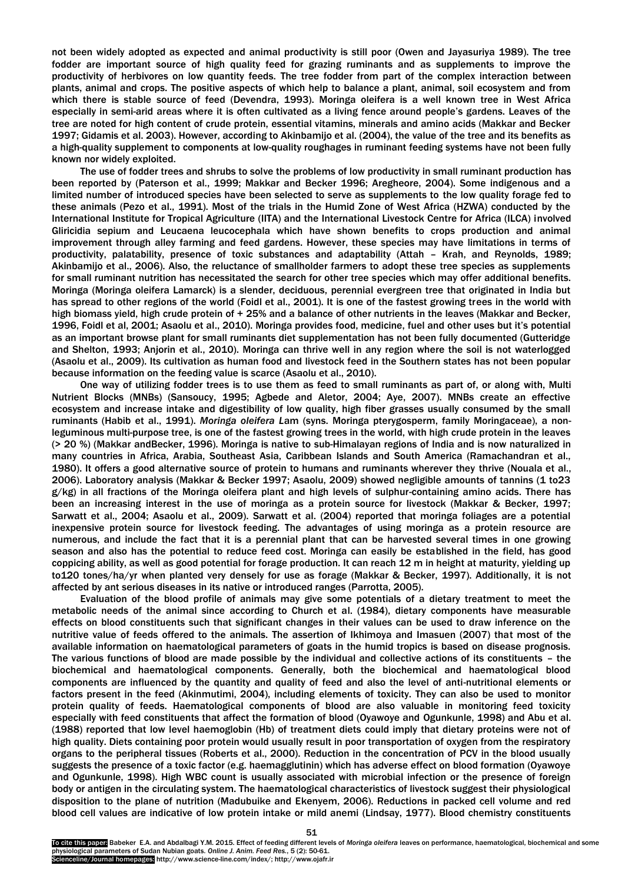not been widely adopted as expected and animal productivity is still poor (Owen and Jayasuriya 1989). The tree fodder are important source of high quality feed for grazing ruminants and as supplements to improve the productivity of herbivores on low quantity feeds. The tree fodder from part of the complex interaction between plants, animal and crops. The positive aspects of which help to balance a plant, animal, soil ecosystem and from which there is stable source of feed (Devendra, 1993). Moringa oleifera is a well known tree in West Africa especially in semi-arid areas where it is often cultivated as a living fence around people's gardens. Leaves of the tree are noted for high content of crude protein, essential vitamins, minerals and amino acids (Makkar and Becker 1997; Gidamis et al. 2003). However, according to Akinbamijo et al. (2004), the value of the tree and its benefits as a high-quality supplement to components at low-quality roughages in ruminant feeding systems have not been fully known nor widely exploited.

The use of fodder trees and shrubs to solve the problems of low productivity in small ruminant production has been reported by (Paterson et al., 1999; Makkar and Becker 1996; Aregheore, 2004). Some indigenous and a limited number of introduced species have been selected to serve as supplements to the low quality forage fed to these animals (Pezo et al., 1991). Most of the trials in the Humid Zone of West Africa (HZWA) conducted by the International Institute for Tropical Agriculture (IITA) and the International Livestock Centre for Africa (ILCA) involved Gliricidia sepium and Leucaena leucocephala which have shown benefits to crops production and animal improvement through alley farming and feed gardens. However, these species may have limitations in terms of productivity, palatability, presence of toxic substances and adaptability (Attah – Krah, and Reynolds, 1989; Akinbamijo et al., 2006). Also, the reluctance of smallholder farmers to adopt these tree species as supplements for small ruminant nutrition has necessitated the search for other tree species which may offer additional benefits. Moringa (Moringa oleifera Lamarck) is a slender, deciduous, perennial evergreen tree that originated in India but has spread to other regions of the world (Foidl et al., 2001). It is one of the fastest growing trees in the world with high biomass yield, high crude protein of + 25% and a balance of other nutrients in the leaves (Makkar and Becker, 1996, Foidl et al, 2001; Asaolu et al., 2010). Moringa provides food, medicine, fuel and other uses but it's potential as an important browse plant for small ruminants diet supplementation has not been fully documented (Gutteridge and Shelton, 1993; Anjorin et al., 2010). Moringa can thrive well in any region where the soil is not waterlogged (Asaolu et al., 2009). Its cultivation as human food and livestock feed in the Southern states has not been popular because information on the feeding value is scarce (Asaolu et al., 2010).

One way of utilizing fodder trees is to use them as feed to small ruminants as part of, or along with, Multi Nutrient Blocks (MNBs) (Sansoucy, 1995; Agbede and Aletor, 2004; Aye, 2007). MNBs create an effective ecosystem and increase intake and digestibility of low quality, high fiber grasses usually consumed by the small ruminants (Habib et al., 1991). *Moringa oleifera L*am (syns. Moringa pterygosperm, family Moringaceae), a nonleguminous multi-purpose tree, is one of the fastest growing trees in the world, with high crude protein in the leaves (> 20 %) (Makkar andBecker, 1996). Moringa is native to sub-Himalayan regions of India and is now naturalized in many countries in Africa, Arabia, Southeast Asia, Caribbean Islands and South America (Ramachandran et al., 1980). It offers a good alternative source of protein to humans and ruminants wherever they thrive (Nouala et al., 2006). Laboratory analysis (Makkar & Becker 1997; Asaolu, 2009) showed negligible amounts of tannins (1 to23 g/kg) in all fractions of the Moringa oleifera plant and high levels of sulphur-containing amino acids. There has been an increasing interest in the use of moringa as a protein source for livestock (Makkar & Becker, 1997; Sarwatt et al., 2004; Asaolu et al., 2009). Sarwatt et al. (2004) reported that moringa foliages are a potential inexpensive protein source for livestock feeding. The advantages of using moringa as a protein resource are numerous, and include the fact that it is a perennial plant that can be harvested several times in one growing season and also has the potential to reduce feed cost. Moringa can easily be established in the field, has good coppicing ability, as well as good potential for forage production. It can reach 12 m in height at maturity, yielding up to120 tones/ha/yr when planted very densely for use as forage (Makkar & Becker, 1997). Additionally, it is not affected by ant serious diseases in its native or introduced ranges (Parrotta, 2005).

Evaluation of the blood profile of animals may give some potentials of a dietary treatment to meet the metabolic needs of the animal since according to Church et al. (1984), dietary components have measurable effects on blood constituents such that significant changes in their values can be used to draw inference on the nutritive value of feeds offered to the animals. The assertion of Ikhimoya and Imasuen (2007) that most of the available information on haematological parameters of goats in the humid tropics is based on disease prognosis. The various functions of blood are made possible by the individual and collective actions of its constituents – the biochemical and haematological components. Generally, both the biochemical and haematological blood components are influenced by the quantity and quality of feed and also the level of anti-nutritional elements or factors present in the feed (Akinmutimi, 2004), including elements of toxicity. They can also be used to monitor protein quality of feeds. Haematological components of blood are also valuable in monitoring feed toxicity especially with feed constituents that affect the formation of blood (Oyawoye and Ogunkunle, 1998) and Abu et al. (1988) reported that low level haemoglobin (Hb) of treatment diets could imply that dietary proteins were not of high quality. Diets containing poor protein would usually result in poor transportation of oxygen from the respiratory organs to the peripheral tissues (Roberts et al., 2000). Reduction in the concentration of PCV in the blood usually suggests the presence of a toxic factor (e.g. haemagglutinin) which has adverse effect on blood formation (Oyawoye and Ogunkunle, 1998). High WBC count is usually associated with microbial infection or the presence of foreign body or antigen in the circulating system. The haematological characteristics of livestock suggest their physiological disposition to the plane of nutrition (Madubuike and Ekenyem, 2006). Reductions in packed cell volume and red blood cell values are indicative of low protein intake or mild anemi (Lindsay, 1977). Blood chemistry constituents

To cite this paper: Babeker E.A. and Abdalbagi Y.M. 2015. Effect of feeding different levels of *Moringa oleifera* leaves on performance, haematological, biochemical and some physiological parameters of Sudan Nubian goats*. Online J. Anim. Feed Res.*, 5 (2): 50-61. Scienceline/Journal homepages: http://www.science-line.com/index/; http://www.ojafr.ir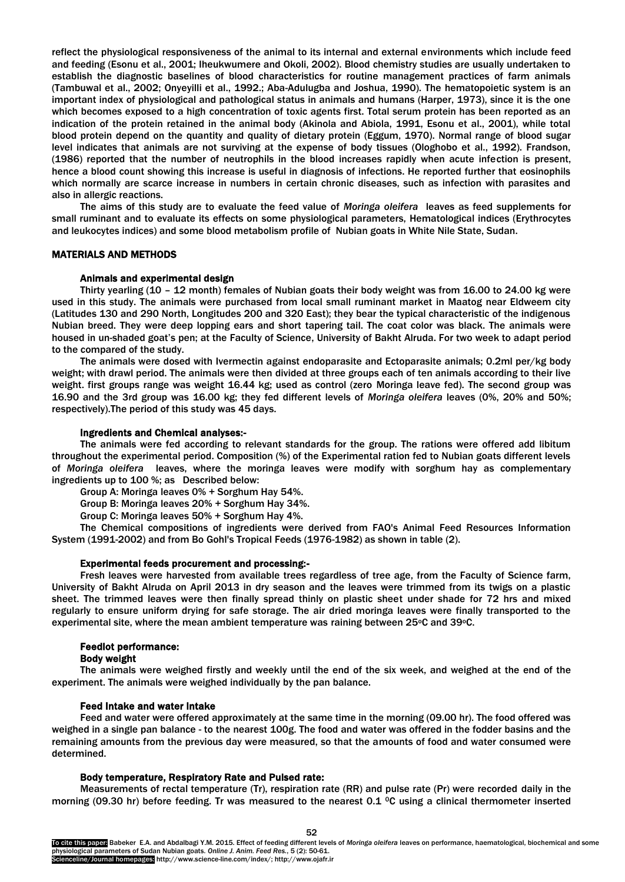reflect the physiological responsiveness of the animal to its internal and external environments which include feed and feeding (Esonu et al., 2001; Iheukwumere and Okoli, 2002). Blood chemistry studies are usually undertaken to establish the diagnostic baselines of blood characteristics for routine management practices of farm animals (Tambuwal et al., 2002; Onyeyilli et al., 1992.; Aba-Adulugba and Joshua, 1990). The hematopoietic system is an important index of physiological and pathological status in animals and humans (Harper, 1973), since it is the one which becomes exposed to a high concentration of toxic agents first. Total serum protein has been reported as an indication of the protein retained in the animal body (Akinola and Abiola, 1991, Esonu et al., 2001), while total blood protein depend on the quantity and quality of dietary protein (Eggum, 1970). Normal range of blood sugar level indicates that animals are not surviving at the expense of body tissues (Ologhobo et al., 1992). Frandson, (1986) reported that the number of neutrophils in the blood increases rapidly when acute infection is present, hence a blood count showing this increase is useful in diagnosis of infections. He reported further that eosinophils which normally are scarce increase in numbers in certain chronic diseases, such as infection with parasites and also in allergic reactions.

The aims of this study are to evaluate the feed value of *Moringa oleifera* leaves as feed supplements for small ruminant and to evaluate its effects on some physiological parameters, Hematological indices (Erythrocytes and leukocytes indices) and some blood metabolism profile of Nubian goats in White Nile State, Sudan.

#### MATERIALS AND METHODS

#### Animals and experimental design

Thirty yearling (10 – 12 month) females of Nubian goats their body weight was from 16.00 to 24.00 kg were used in this study. The animals were purchased from local small ruminant market in Maatog near Eldweem city (Latitudes 130 and 290 North, Longitudes 200 and 320 East); they bear the typical characteristic of the indigenous Nubian breed. They were deep lopping ears and short tapering tail. The coat color was black. The animals were housed in un-shaded goat's pen; at the Faculty of Science, University of Bakht Alruda. For two week to adapt period to the compared of the study.

The animals were dosed with Ivermectin against endoparasite and Ectoparasite animals; 0.2ml per/kg body weight; with drawl period. The animals were then divided at three groups each of ten animals according to their live weight. first groups range was weight 16.44 kg; used as control (zero Moringa leave fed). The second group was 16.90 and the 3rd group was 16.00 kg; they fed different levels of *Moringa oleifera* leaves (0%, 20% and 50%; respectively).The period of this study was 45 days.

#### Ingredients and Chemical analyses:-

The animals were fed according to relevant standards for the group. The rations were offered add libitum throughout the experimental period. Composition (%) of the Experimental ration fed to Nubian goats different levels of *Moringa oleifera* leaves, where the moringa leaves were modify with sorghum hay as complementary ingredients up to 100 %; as Described below:

Group A: Moringa leaves 0% + Sorghum Hay 54%.

Group B: Moringa leaves 20% + Sorghum Hay 34%.

Group C: Moringa leaves 50% + Sorghum Hay 4%.

The Chemical compositions of ingredients were derived from FAO's Animal Feed Resources Information System (1991-2002) and from Bo Gohl's Tropical Feeds (1976-1982) as shown in table (2).

#### Experimental feeds procurement and processing:-

Fresh leaves were harvested from available trees regardless of tree age, from the Faculty of Science farm, University of Bakht Alruda on April 2013 in dry season and the leaves were trimmed from its twigs on a plastic sheet. The trimmed leaves were then finally spread thinly on plastic sheet under shade for 72 hrs and mixed regularly to ensure uniform drying for safe storage. The air dried moringa leaves were finally transported to the experimental site, where the mean ambient temperature was raining between 25°C and 39°C.

#### Feedlot performance:

#### Body weight

The animals were weighed firstly and weekly until the end of the six week, and weighed at the end of the experiment. The animals were weighed individually by the pan balance.

#### Feed Intake and water Intake

Feed and water were offered approximately at the same time in the morning (09.00 hr). The food offered was weighed in a single pan balance - to the nearest 100g. The food and water was offered in the fodder basins and the remaining amounts from the previous day were measured, so that the amounts of food and water consumed were determined.

#### Body temperature, Respiratory Rate and Pulsed rate:

Measurements of rectal temperature (Tr), respiration rate (RR) and pulse rate (Pr) were recorded daily in the morning (09.30 hr) before feeding. Tr was measured to the nearest 0.1 °C using a clinical thermometer inserted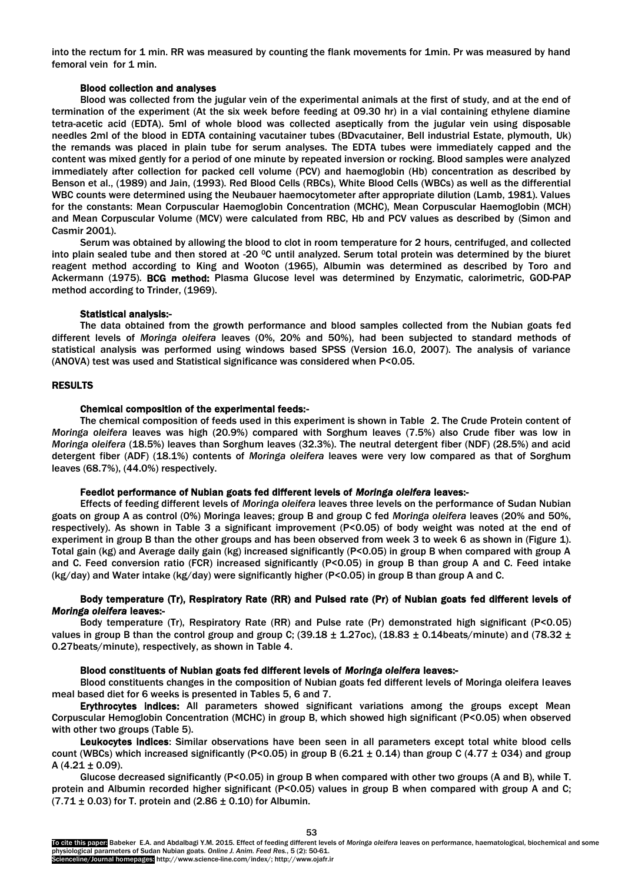into the rectum for 1 min. RR was measured by counting the flank movements for 1min. Pr was measured by hand femoral vein for 1 min.

## Blood collection and analyses

Blood was collected from the jugular vein of the experimental animals at the first of study, and at the end of termination of the experiment (At the six week before feeding at 09.30 hr) in a vial containing ethylene diamine tetra-acetic acid (EDTA). 5ml of whole blood was collected aseptically from the jugular vein using disposable needles 2ml of the blood in EDTA containing vacutainer tubes (BDvacutainer, Bell industrial Estate, plymouth, Uk) the remands was placed in plain tube for serum analyses. The EDTA tubes were immediately capped and the content was mixed gently for a period of one minute by repeated inversion or rocking. Blood samples were analyzed immediately after collection for packed cell volume (PCV) and haemoglobin (Hb) concentration as described by Benson et al., (1989) and Jain, (1993). Red Blood Cells (RBCs), White Blood Cells (WBCs) as well as the differential WBC counts were determined using the Neubauer haemocytometer after appropriate dilution (Lamb, 1981). Values for the constants: Mean Corpuscular Haemoglobin Concentration (MCHC), Mean Corpuscular Haemoglobin (MCH) and Mean Corpuscular Volume (MCV) were calculated from RBC, Hb and PCV values as described by (Simon and Casmir 2001).

Serum was obtained by allowing the blood to clot in room temperature for 2 hours, centrifuged, and collected into plain sealed tube and then stored at -20  $^{\circ}$ C until analyzed. Serum total protein was determined by the biuret reagent method according to King and Wooton (1965), Albumin was determined as described by Toro and Ackermann (1975). BCG method: Plasma Glucose level was determined by Enzymatic, calorimetric, GOD-PAP method according to Trinder, (1969).

#### Statistical analysis:-

The data obtained from the growth performance and blood samples collected from the Nubian goats fed different levels of *Moringa oleifera* leaves (0%, 20% and 50%), had been subjected to standard methods of statistical analysis was performed using windows based SPSS (Version 16.0, 2007). The analysis of variance (ANOVA) test was used and Statistical significance was considered when P<0.05.

# RESULTS

#### Chemical composition of the experimental feeds:-

The chemical composition of feeds used in this experiment is shown in Table 2. The Crude Protein content of *Moringa oleifera* leaves was high (20.9%) compared with Sorghum leaves (7.5%) also Crude fiber was low in *Moringa oleifera* (18.5%) leaves than Sorghum leaves (32.3%). The neutral detergent fiber (NDF) (28.5%) and acid detergent fiber (ADF) (18.1%) contents of *Moringa oleifera* leaves were very low compared as that of Sorghum leaves (68.7%), (44.0%) respectively.

#### Feedlot performance of Nubian goats fed different levels of *Moringa oleifera* leaves:-

Effects of feeding different levels of *Moringa oleifera* leaves three levels on the performance of Sudan Nubian goats on group A as control (0%) Moringa leaves; group B and group C fed *Moringa oleifera* leaves (20% and 50%, respectively). As shown in Table 3 a significant improvement (P<0.05) of body weight was noted at the end of experiment in group B than the other groups and has been observed from week 3 to week 6 as shown in (Figure 1). Total gain (kg) and Average daily gain (kg) increased significantly (P<0.05) in group B when compared with group A and C. Feed conversion ratio (FCR) increased significantly (P<0.05) in group B than group A and C. Feed intake (kg/day) and Water intake (kg/day) were significantly higher (P<0.05) in group B than group A and C.

# Body temperature (Tr), Respiratory Rate (RR) and Pulsed rate (Pr) of Nubian goats fed different levels of *Moringa oleifera* leaves:-

Body temperature (Tr), Respiratory Rate (RR) and Pulse rate (Pr) demonstrated high significant (P<0.05) values in group B than the control group and group C; (39.18  $\pm$  1.27oc), (18.83  $\pm$  0.14beats/minute) and (78.32  $\pm$ 0.27beats/minute), respectively, as shown in Table 4.

### Blood constituents of Nubian goats fed different levels of *Moringa oleifera* leaves:-

Blood constituents changes in the composition of Nubian goats fed different levels of Moringa oleifera leaves meal based diet for 6 weeks is presented in Tables 5, 6 and 7.

Erythrocytes indices: All parameters showed significant variations among the groups except Mean Corpuscular Hemoglobin Concentration (MCHC) in group B, which showed high significant (P<0.05) when observed with other two groups (Table 5).

Leukocytes indices: Similar observations have been seen in all parameters except total white blood cells count (WBCs) which increased significantly (P<0.05) in group B (6.21  $\pm$  0.14) than group C (4.77  $\pm$  034) and group A  $(4.21 \pm 0.09)$ .

Glucose decreased significantly (P<0.05) in group B when compared with other two groups (A and B), while T. protein and Albumin recorded higher significant (P<0.05) values in group B when compared with group A and C;  $(7.71 \pm 0.03)$  for T. protein and  $(2.86 \pm 0.10)$  for Albumin.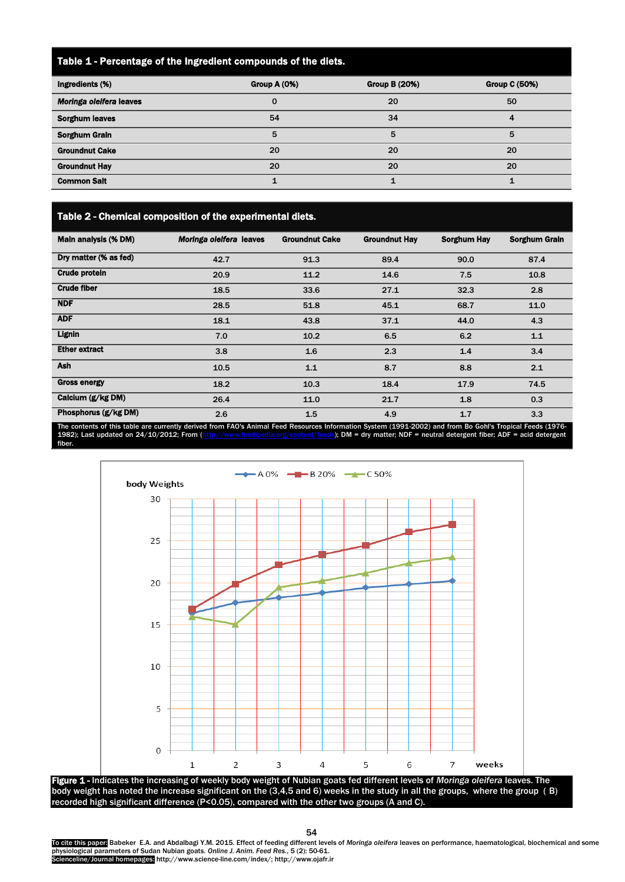# Table 1 - Percentage of the Ingredient compounds of the diets.

| Ingredients (%)         | Group A (0%) | <b>Group B (20%)</b> | <b>Group C (50%)</b> |
|-------------------------|--------------|----------------------|----------------------|
| Moringa oleifera leaves |              | 20                   | 50                   |
| <b>Sorghum leaves</b>   | 54           | 34                   |                      |
| <b>Sorghum Grain</b>    | 5            | 5                    | 5                    |
| <b>Groundnut Cake</b>   | 20           | 20                   | 20                   |
| <b>Groundnut Hay</b>    | 20           | 20                   | 20                   |
| <b>Common Salt</b>      |              |                      |                      |

Table 2 - Chemical composition of the experimental diets.

| Main analysis (% DM)  | Moringa oleifera leaves | <b>Groundnut Cake</b> | <b>Groundnut Hay</b> | <b>Sorghum Hay</b> | <b>Sorghum Grain</b> |
|-----------------------|-------------------------|-----------------------|----------------------|--------------------|----------------------|
| Dry matter (% as fed) | 42.7                    | 91.3                  | 89.4                 | 90.0               | 87.4                 |
| <b>Crude protein</b>  | 20.9                    | 11.2                  | 14.6                 | 7.5                | 10.8                 |
| <b>Crude fiber</b>    | 18.5                    | 33.6                  | 27.1                 | 32.3               | 2.8                  |
| <b>NDF</b>            | 28.5                    | 51.8                  | 45.1                 | 68.7               | 11.0                 |
| <b>ADF</b>            | 18.1                    | 43.8                  | 37.1                 | 44.0               | 4.3                  |
| <b>Lignin</b>         | 7.0                     | 10.2                  | 6.5                  | 6.2                | $1.1$                |
| <b>Ether extract</b>  | 3.8                     | 1.6                   | 2.3                  | 1.4                | 3.4                  |
| <b>Ash</b>            | 10.5                    | $1.1$                 | 8.7                  | 8.8                | 2.1                  |
| <b>Gross energy</b>   | 18.2                    | 10.3                  | 18.4                 | 17.9               | 74.5                 |
| Calcium (g/kg DM)     | 26.4                    | 11.0                  | 21.7                 | 1.8                | 0.3                  |
| Phosphorus (g/kg DM)  | 2.6                     | 1.5                   | 4.9                  | 1.7                | 3.3                  |

The contents of this table are currently derived from FAO's Animal Feed Resources Information System (1991-2002) and from Bo Gohl's Tropical Feeds (1976-<br>1982); Last updated on 24/10/2012; From (http://www.feedipedia.org/c rg/content/feeds); DM = dry matter; NDF = neutral detergent fiber; ADF = acid detergent fiber.





To cite this paper<mark>:</mark> Babeker E.A. and Abdalbagi Y.M. 2015. Effect of feeding different levels of *Moringa oleifera* leaves on performance, haematological, biochemical and some<br>physiological parameters of Sudan Nubian goat Scienceline/Journal homepages: http://www.science-line.com/index/; http://www.ojafr.ir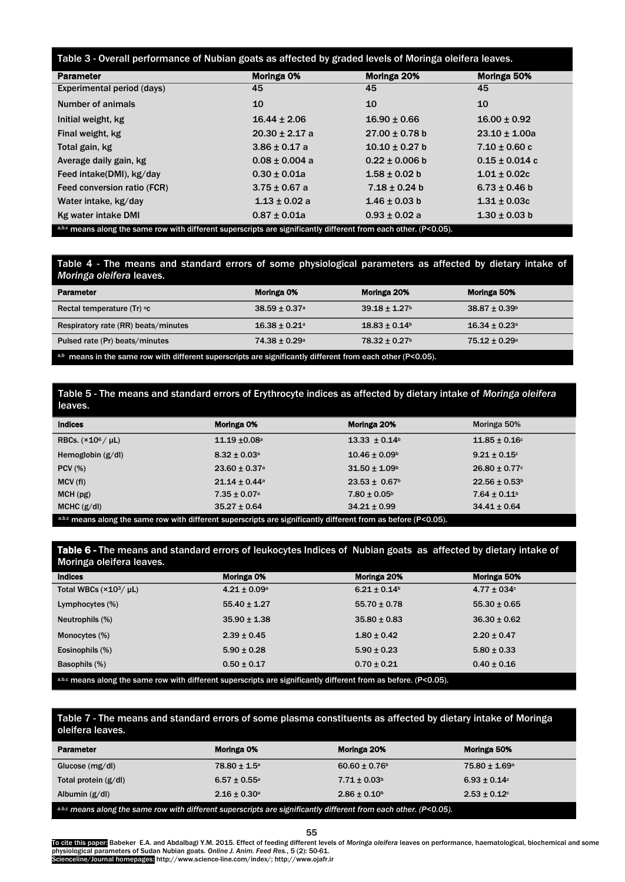| Table 3 - Overall performance of Nubian goats as affected by graded levels of Moringa oleifera leaves.            |                    |                    |                    |  |
|-------------------------------------------------------------------------------------------------------------------|--------------------|--------------------|--------------------|--|
| <b>Parameter</b>                                                                                                  | Moringa 0%         | Moringa 20%        | Moringa 50%        |  |
| Experimental period (days)                                                                                        | 45                 | 45                 | 45                 |  |
| Number of animals                                                                                                 | 10                 | 10                 | 10                 |  |
| Initial weight, kg                                                                                                | $16.44 \pm 2.06$   | $16.90 \pm 0.66$   | $16.00 \pm 0.92$   |  |
| Final weight, kg                                                                                                  | $20.30 \pm 2.17$ a | $27.00 \pm 0.78$ b | $23.10 \pm 1.00a$  |  |
| Total gain, kg                                                                                                    | $3.86 \pm 0.17$ a  | $10.10 \pm 0.27$ b | $7.10 \pm 0.60$ c  |  |
| Average daily gain, kg                                                                                            | $0.08 \pm 0.004$ a | $0.22 \pm 0.006$ b | $0.15 \pm 0.014$ c |  |
| Feed intake(DMI), kg/day                                                                                          | $0.30 \pm 0.01a$   | $1.58 \pm 0.02$ b  | $1.01 \pm 0.02c$   |  |
| Feed conversion ratio (FCR)                                                                                       | $3.75 \pm 0.67$ a  | $7.18 \pm 0.24$ b  | $6.73 \pm 0.46$ b  |  |
| Water intake, kg/day                                                                                              | $1.13 \pm 0.02$ a  | $1.46 \pm 0.03$ b  | $1.31 \pm 0.03c$   |  |
| Kg water intake DMI                                                                                               | $0.87 \pm 0.01a$   | $0.93 \pm 0.02$ a  | $1.30 \pm 0.03$ b  |  |
| a,b.c means along the same row with different superscripts are significantly different from each other. (P<0.05). |                    |                    |                    |  |

Table 4 - The means and standard errors of some physiological parameters as affected by dietary intake of *Moringa oleifera* leaves.

| <b>Parameter</b>                                                                                            | Moringa 0%                    | Moringa 20%                   | Moringa 50%                   |
|-------------------------------------------------------------------------------------------------------------|-------------------------------|-------------------------------|-------------------------------|
| Rectal temperature (Tr) °c                                                                                  | $38.59 \pm 0.37$ <sup>a</sup> | $39.18 \pm 1.27$ <sup>b</sup> | $38.87 \pm 0.39^{\circ}$      |
| Respiratory rate (RR) beats/minutes                                                                         | $16.38 \pm 0.21$ <sup>a</sup> | $18.83 \pm 0.14$ <sup>b</sup> | $16.34 \pm 0.23$ <sup>a</sup> |
| Pulsed rate (Pr) beats/minutes                                                                              | $74.38 \pm 0.29$ <sup>a</sup> | $78.32 \pm 0.27$ <sup>b</sup> | $75.12 \pm 0.29$ <sup>a</sup> |
| a,b means in the same row with different superscripts are significantly different from each other (P<0.05). |                               |                               |                               |

Table 5 - The means and standard errors of Erythrocyte indices as affected by dietary intake of *Moringa oleifera* leaves

| <b>Indices</b>                                                                                                  | Moringa 0%                    | Moringa 20%                   | Moringa 50%                  |
|-----------------------------------------------------------------------------------------------------------------|-------------------------------|-------------------------------|------------------------------|
| RBCs. $(\times 10^6 / \mu L)$                                                                                   | $11.19 \pm 0.08$ <sup>a</sup> | $13.33 \pm 0.14$ <sup>b</sup> | $11.85 \pm 0.16$ c           |
| Hemoglobin $(g/d)$                                                                                              | $8.32 \pm 0.03$ <sup>a</sup>  | $10.46 \pm 0.09^b$            | $9.21 \pm 0.15$ °            |
| $PCV$ (%)                                                                                                       | $23.60 \pm 0.37$ <sup>a</sup> | $31.50 \pm 1.09$ <sup>b</sup> | $26.80 \pm 0.77$ c           |
| MCV(f)                                                                                                          | $21.14 \pm 0.44$ <sup>a</sup> | $23.53 \pm 0.67$ <sup>b</sup> | $22.56 \pm 0.53^b$           |
| MCH(pg)                                                                                                         | $7.35 \pm 0.07$ <sup>a</sup>  | $7.80 \pm 0.05^{\circ}$       | $7.64 \pm 0.11$ <sup>b</sup> |
| MCHC $(g/d)$                                                                                                    | $35.27 \pm 0.64$              | $34.21 \pm 0.99$              | $34.41 \pm 0.64$             |
| a.b.c means along the same row with different superscripts are significantly different from as before (P<0.05). |                               |                               |                              |

Table 6 - The means and standard errors of leukocytes Indices of Nubian goats as affected by dietary intake of Moringa oleifera leaves

| 11.911177401010101001001                                                                                         |                         |                              |                  |
|------------------------------------------------------------------------------------------------------------------|-------------------------|------------------------------|------------------|
| <b>Indices</b>                                                                                                   | Moringa 0%              | Moringa 20%                  | Moringa 50%      |
| Total WBCs $(\times 10^3/\mu L)$                                                                                 | $4.21 \pm 0.09^{\circ}$ | $6.21 \pm 0.14$ <sup>b</sup> | $4.77 \pm 034$ c |
| Lymphocytes (%)                                                                                                  | $55.40 \pm 1.27$        | $55.70 \pm 0.78$             | $55.30 \pm 0.65$ |
| Neutrophils (%)                                                                                                  | $35.90 \pm 1.38$        | $35.80 \pm 0.83$             | $36.30 \pm 0.62$ |
| Monocytes (%)                                                                                                    | $2.39 \pm 0.45$         | $1.80 \pm 0.42$              | $2.20 \pm 0.47$  |
| Eosinophils (%)                                                                                                  | $5.90 \pm 0.28$         | $5.90 \pm 0.23$              | $5.80 \pm 0.33$  |
| Basophils (%)                                                                                                    | $0.50 \pm 0.17$         | $0.70 \pm 0.21$              | $0.40 \pm 0.16$  |
| a.b.c means along the same row with different superscripts are significantly different from as before. (P<0.05). |                         |                              |                  |

Table 7 - The means and standard errors of some plasma constituents as affected by dietary intake of Moringa oleifera leaves.

| <b>Parameter</b>                                                                                                  | Moringa 0%              | Moringa 20%                   | Moringa 50%              |
|-------------------------------------------------------------------------------------------------------------------|-------------------------|-------------------------------|--------------------------|
| Glucose $(mg/dl)$                                                                                                 | $78.80 \pm 1.5^{\circ}$ | $60.60 \pm 0.76$ <sup>b</sup> | $75.80 \pm 1.69^{\circ}$ |
| Total protein $(g/d)$                                                                                             | $6.57 \pm 0.55^{\circ}$ | $7.71 \pm 0.03$ <sup>b</sup>  | $6.93 \pm 0.14$ °        |
| Albumin $(g/d)$                                                                                                   | $2.16 \pm 0.30^{\circ}$ | $2.86 \pm 0.10^6$             | $2.53 \pm 0.12$ °        |
| a.b.c means along the same row with different superscripts are significantly different from each other. (P<0.05). |                         |                               |                          |

55

To cite this paper<mark>:</mark> Babeker E.A. and Abdalbagi Y.M. 2015. Effect of feeding different levels of *Moringa oleifera* leaves on performance, haematological, biochemical and some<br>physiological parameters of Sudan Nubian goat Scienceline/Journal homepages: http://www.science-line.com/index/; http://www.ojafr.ir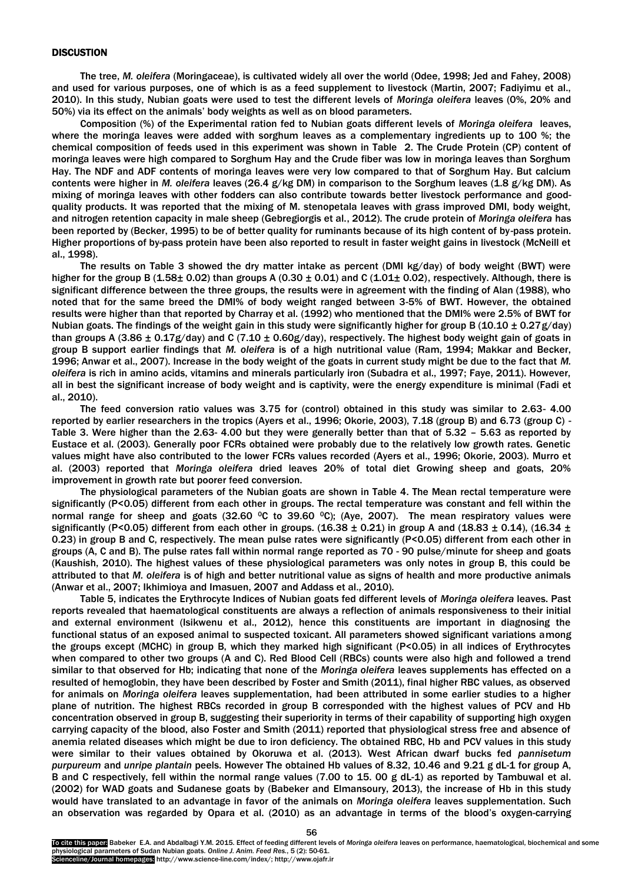#### **DISCUSTION**

The tree, *M. oleifera* (Moringaceae), is cultivated widely all over the world (Odee, 1998; Jed and Fahey, 2008) and used for various purposes, one of which is as a feed supplement to livestock (Martin, 2007; Fadiyimu et al., 2010). In this study, Nubian goats were used to test the different levels of *Moringa oleifera* leaves (0%, 20% and 50%) via its effect on the animals' body weights as well as on blood parameters.

Composition (%) of the Experimental ration fed to Nubian goats different levels of *Moringa oleifera* leaves, where the moringa leaves were added with sorghum leaves as a complementary ingredients up to 100 %; the chemical composition of feeds used in this experiment was shown in Table 2. The Crude Protein (CP) content of moringa leaves were high compared to Sorghum Hay and the Crude fiber was low in moringa leaves than Sorghum Hay. The NDF and ADF contents of moringa leaves were very low compared to that of Sorghum Hay. But calcium contents were higher in *M. oleifera* leaves (26.4 g/kg DM) in comparison to the Sorghum leaves (1.8 g/kg DM). As mixing of moringa leaves with other fodders can also contribute towards better livestock performance and goodquality products. It was reported that the mixing of M. stenopetala leaves with grass improved DMI, body weight, and nitrogen retention capacity in male sheep (Gebregiorgis et al., 2012). The crude protein of *Moringa oleifera* has been reported by (Becker, 1995) to be of better quality for ruminants because of its high content of by-pass protein. Higher proportions of by-pass protein have been also reported to result in faster weight gains in livestock (McNeill et al., 1998).

The results on Table 3 showed the dry matter intake as percent (DMI kg/day) of body weight (BWT) were higher for the group B (1.58 $\pm$  0.02) than groups A (0.30  $\pm$  0.01) and C (1.01 $\pm$  0.02), respectively. Although, there is significant difference between the three groups, the results were in agreement with the finding of Alan (1988), who noted that for the same breed the DMI% of body weight ranged between 3-5% of BWT. However, the obtained results were higher than that reported by Charray et al. (1992) who mentioned that the DMI% were 2.5% of BWT for Nubian goats. The findings of the weight gain in this study were significantly higher for group B (10.10  $\pm$  0.27 g/day) than groups A (3.86  $\pm$  0.17g/day) and C (7.10  $\pm$  0.60g/day), respectively. The highest body weight gain of goats in group B support earlier findings that *M. oleifera* is of a high nutritional value (Ram, 1994; Makkar and Becker, 1996; Anwar et al., 2007). Increase in the body weight of the goats in current study might be due to the fact that *M. oleifera* is rich in amino acids, vitamins and minerals particularly iron (Subadra et al., 1997; Faye, 2011). However, all in best the significant increase of body weight and is captivity, were the energy expenditure is minimal (Fadi et al., 2010).

The feed conversion ratio values was 3.75 for (control) obtained in this study was similar to 2.63- 4.00 reported by earlier researchers in the tropics (Ayers et al., 1996; Okorie, 2003), 7.18 (group B) and 6.73 (group C) - Table 3. Were higher than the 2.63- 4.00 but they were generally better than that of 5.32 – 5.63 as reported by Eustace et al. (2003). Generally poor FCRs obtained were probably due to the relatively low growth rates. Genetic values might have also contributed to the lower FCRs values recorded (Ayers et al., 1996; Okorie, 2003). Murro et al. (2003) reported that *Moringa oleifera* dried leaves 20% of total diet Growing sheep and goats, 20% improvement in growth rate but poorer feed conversion.

The physiological parameters of the Nubian goats are shown in Table 4. The Mean rectal temperature were significantly (P<0.05) different from each other in groups. The rectal temperature was constant and fell within the normal range for sheep and goats (32.60  $\degree$ C to 39.60  $\degree$ C); (Aye, 2007). The mean respiratory values were significantly (P<0.05) different from each other in groups. (16.38  $\pm$  0.21) in group A and (18.83  $\pm$  0.14), (16.34  $\pm$ 0.23) in group B and C, respectively. The mean pulse rates were significantly (P<0.05) different from each other in groups (A, C and B). The pulse rates fall within normal range reported as 70 - 90 pulse/minute for sheep and goats (Kaushish, 2010). The highest values of these physiological parameters was only notes in group B, this could be attributed to that *M. oleifera* is of high and better nutritional value as signs of health and more productive animals (Anwar et al., 2007; [Ikhimioya and Imasuen, 2007](http://scialert.net/fulltext/?doi=ajas.2012.263.277&org=12#124216_ja) and [Addass et al., 2010\)](http://scialert.net/fulltext/?doi=ajas.2012.263.277&org=12#963361_ja).

Table 5, indicates the Erythrocyte Indices of Nubian goats fed different levels of *Moringa oleifera* leaves. Past reports revealed that haematological constituents are always a reflection of animals responsiveness to their initial and external environment (Isikwenu et al., 2012), hence this constituents are important in diagnosing the functional status of an exposed animal to suspected toxicant. All parameters showed significant variations among the groups except (MCHC) in group B, which they marked high significant (P<0.05) in all indices of Erythrocytes when compared to other two groups (A and C). Red Blood Cell (RBCs) counts were also high and followed a trend similar to that observed for Hb; indicating that none of the *Moringa oleifera* leaves supplements has effected on a resulted of hemoglobin, they have been described by Foster and Smith (2011), final higher RBC values, as observed for animals on *Moringa oleifera* leaves supplementation, had been attributed in some earlier studies to a higher plane of nutrition. The highest RBCs recorded in group B corresponded with the highest values of PCV and Hb concentration observed in group B, suggesting their superiority in terms of their capability of supporting high oxygen carrying capacity of the blood, also Foster and Smith (2011) reported that physiological stress free and absence of anemia related diseases which might be due to iron deficiency. The obtained RBC, Hb and PCV values in this study were similar to their values obtained by Okoruwa et al. (2013). West African dwarf bucks fed *pannisetum purpureum* and *unripe plantain* peels. However The obtained Hb values of 8.32, 10.46 and 9.21 g dL-1 for group A, B and C respectively, fell within the normal range values (7.00 to 15. 00 g dL-1) as reported by Tambuwal et al. (2002) for WAD goats and Sudanese goats by (Babeker and Elmansoury, 2013), the increase of Hb in this study would have translated to an advantage in favor of the animals on *Moringa oleifera* leaves supplementation. Such an observation was regarded by [Opara et al. \(2010\)](http://scialert.net/fulltext/?doi=ajas.2012.263.277&org=12#963375_ja) as an advantage in terms of the blood's oxygen-carrying

To cite this paper: Babeker E.A. and Abdalbagi Y.M. 2015. Effect of feeding different levels of *Moringa oleifera* leaves on performance, haematological, biochemical and some physiological parameters of Sudan Nubian goats*. Online J. Anim. Feed Res.*, 5 (2): 50-61. Scienceline/Journal homepages: http://www.science-line.com/index/; http://www.ojafr.ir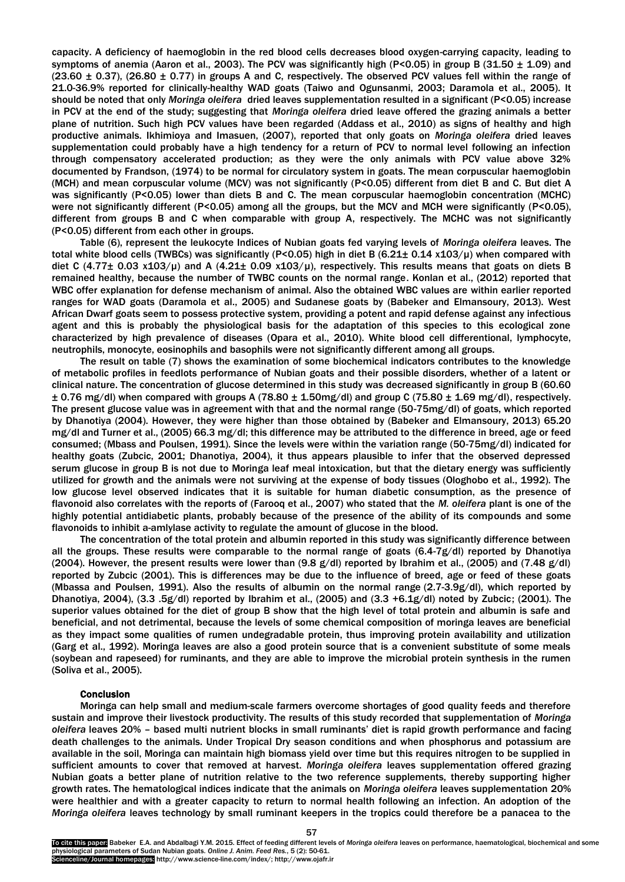capacity. A deficiency of haemoglobin in the red blood cells decreases blood oxygen-carrying capacity, leading to symptoms of anemia [\(Aaron et al., 2003\)](http://scialert.net/fulltext/?doi=ajas.2012.263.277&org=12#963349_ja). The PCV was significantly high (P<0.05) in group B (31.50  $\pm$  1.09) and  $(23.60 \pm 0.37)$ ,  $(26.80 \pm 0.77)$  in groups A and C, respectively. The observed PCV values fell within the range of 21.0-36.9% reported for clinically-healthy WAD goats [\(Taiwo and Ogunsanmi, 2003;](http://scialert.net/fulltext/?doi=ajas.2012.263.277&org=12#8441_op) [Daramola et al., 2005\)](http://scialert.net/fulltext/?doi=ajas.2012.263.277&org=12#6034_op). It should be noted that only *Moringa oleifera* dried leaves supplementation resulted in a significant (P<0.05) increase in PCV at the end of the study; suggesting that *Moringa oleifera* dried leave offered the grazing animals a better plane of nutrition. Such high PCV values have been regarded [\(Addass et al., 2010\)](http://scialert.net/fulltext/?doi=ajas.2012.263.277&org=12#963361_ja) as signs of healthy and high productive animals. [Ikhimioya and Imasuen, \(2007\)](http://scialert.net/fulltext/?doi=ajas.2012.263.277&org=12#124216_ja), reported that only goats on *Moringa oleifera* dried leaves supplementation could probably have a high tendency for a return of PCV to normal level following an infection through compensatory accelerated production; as they were the only animals with PCV value above 32% documented by [Frandson,](http://scialert.net/fulltext/?doi=ajas.2012.263.277&org=12#45350_b) (1974) to be normal for circulatory system in goats. The mean corpuscular haemoglobin (MCH) and mean corpuscular volume (MCV) was not significantly (P<0.05) different from diet B and C. But diet A was significantly (P<0.05) lower than diets B and C. The mean corpuscular haemoglobin concentration (MCHC) were not significantly different (P<0.05) among all the groups, but the MCV and MCH were significantly (P<0.05), different from groups B and C when comparable with group A, respectively. The MCHC was not significantly (P<0.05) different from each other in groups.

Table (6), represent the leukocyte Indices of Nubian goats fed varying levels of *Moringa oleifera* leaves. The total white blood cells (TWBCs) was significantly (P<0.05) high in diet B (6.21± 0.14 x103/µ) when compared with diet C (4.77 $\pm$  0.03 x103/ $\mu$ ) and A (4.21 $\pm$  0.09 x103/ $\mu$ ), respectively. This results means that goats on diets B remained healthy, because the number of TWBC counts on the normal range. Konlan et al., (2012) reported that WBC offer explanation for defense mechanism of animal. Also the obtained WBC values are within earlier reported ranges for WAD goats [\(Daramola et al., 2005\)](http://scialert.net/fulltext/?doi=ajas.2012.263.277&org=12#6034_op) and Sudanese goats by (Babeker and Elmansoury, 2013). West African Dwarf goats seem to possess protective system, providing a potent and rapid defense against any infectious agent and this is probably the physiological basis for the adaptation of this species to this ecological zone characterized by high prevalence of diseases [\(Opara et al., 2010\)](http://scialert.net/fulltext/?doi=ajas.2012.263.277&org=12#963375_ja). White blood cell differentional, lymphocyte, neutrophils, monocyte, eosinophils and basophils were not significantly different among all groups.

The result on table (7) shows the examination of some biochemical indicators contributes to the knowledge of metabolic profiles in feedlots performance of Nubian goats and their possible disorders, whether of a latent or clinical nature. The concentration of glucose determined in this study was decreased significantly in group B (60.60  $\pm$  0.76 mg/dl) when compared with groups A (78.80  $\pm$  1.50mg/dl) and group C (75.80  $\pm$  1.69 mg/dl), respectively. The present glucose value was in agreement with that and the normal range (50-75mg/dl) of goats, which reported by Dhanotiya (2004). However, they were higher than those obtained by (Babeker and Elmansoury, 2013) 65.20 mg/dl and Turner et al., (2005) 66.3 mg/dl; this difference may be attributed to the difference in breed, age or feed consumed; (Mbass and Poulsen, 1991). Since the levels were within the variation range (50-75mg/dl) indicated for healthy goats (Zubcic, 2001; Dhanotiya, 2004), it thus appears plausible to infer that the observed depressed serum glucose in group B is not due to Moringa leaf meal intoxication, but that the dietary energy was sufficiently utilized for growth and the animals were not surviving at the expense of body tissues (Ologhobo et al., 1992). The low glucose level observed indicates that it is suitable for human diabetic consumption, as the presence of flavonoid also correlates with the reports of (Farooq et al., 2007) who stated that the *M. oleifera* plant is one of the highly potential antidiabetic plants, probably because of the presence of the ability of its compounds and some flavonoids to inhibit a-amlylase activity to regulate the amount of glucose in the blood.

The concentration of the total protein and albumin reported in this study was significantly difference between all the groups. These results were comparable to the normal range of goats (6.4-7g/dl) reported by Dhanotiya (2004). However, the present results were lower than (9.8 g/dl) reported by Ibrahim et al., (2005) and (7.48 g/dl) reported by Zubcic (2001). This is differences may be due to the influence of breed, age or feed of these goats (Mbassa and Poulsen, 1991). Also the results of albumin on the normal range (2.7-3.9g/dl), which reported by Dhanotiya, 2004), (3.3 .5g/dl) reported by Ibrahim et al., (2005) and (3.3 +6.1g/dl) noted by Zubcic; (2001). The superior values obtained for the diet of group B show that the high level of total protein and albumin is safe and beneficial, and not detrimental, because the levels of some chemical composition of moringa leaves are beneficial as they impact some qualities of rumen undegradable protein, thus improving protein availability and utilization (Garg et al., 1992). Moringa leaves are also a good protein source that is a convenient substitute of some meals (soybean and rapeseed) for ruminants, and they are able to improve the microbial protein synthesis in the rumen (Soliva et al., 2005).

#### Conclusion

Moringa can help small and medium-scale farmers overcome shortages of good quality feeds and therefore sustain and improve their livestock productivity. The results of this study recorded that supplementation of *Moringa oleifera* leaves 20% – based multi nutrient blocks in small ruminants' diet is rapid growth performance and facing death challenges to the animals. Under Tropical Dry season conditions and when phosphorus and potassium are available in the soil, Moringa can maintain high biomass yield over time but this requires nitrogen to be supplied in sufficient amounts to cover that removed at harvest. *Moringa oleifera* leaves supplementation offered grazing Nubian goats a better plane of nutrition relative to the two reference supplements, thereby supporting higher growth rates. The hematological indices indicate that the animals on *Moringa oleifera* leaves supplementation 20% were healthier and with a greater capacity to return to normal health following an infection. An adoption of the *Moringa oleifera* leaves technology by small ruminant keepers in the tropics could therefore be a panacea to the

To cite this paper: Babeker E.A. and Abdalbagi Y.M. 2015. Effect of feeding different levels of *Moringa oleifera* leaves on performance, haematological, biochemical and some physiological parameters of Sudan Nubian goats*. Online J. Anim. Feed Res.*, 5 (2): 50-61. Scienceline/Journal homepages: http://www.science-line.com/index/; http://www.ojafr.ir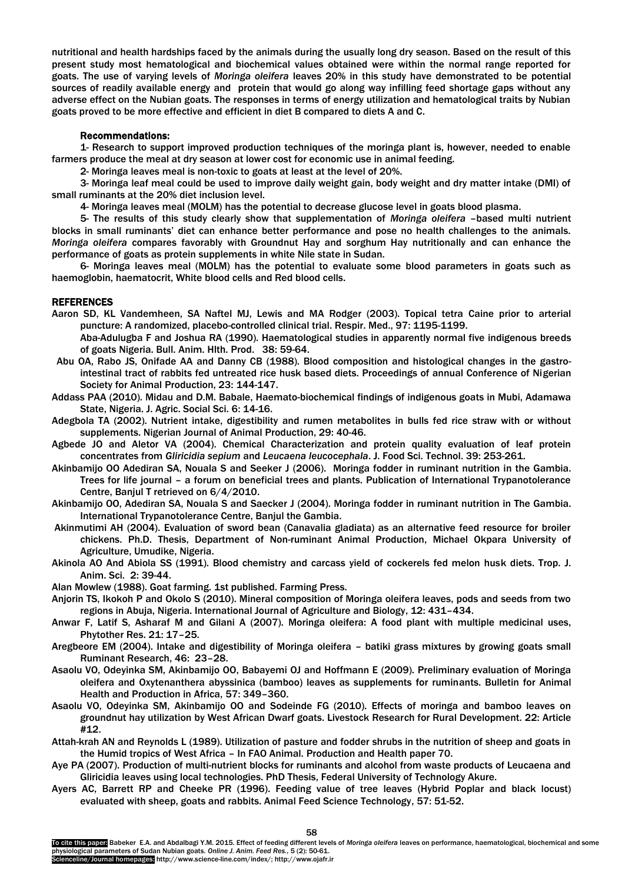nutritional and health hardships faced by the animals during the usually long dry season. Based on the result of this present study most hematological and biochemical values obtained were within the normal range reported for goats. The use of varying levels of *Moringa oleifera* leaves 20% in this study have demonstrated to be potential sources of readily available energy and protein that would go along way infilling feed shortage gaps without any adverse effect on the Nubian goats. The responses in terms of energy utilization and hematological traits by Nubian goats proved to be more effective and efficient in diet B compared to diets A and C.

# Recommendations:

1- Research to support improved production techniques of the moringa plant is, however, needed to enable farmers produce the meal at dry season at lower cost for economic use in animal feeding.

2- Moringa leaves meal is non-toxic to goats at least at the level of 20%.

3- Moringa leaf meal could be used to improve daily weight gain, body weight and dry matter intake (DMI) of small ruminants at the 20% diet inclusion level.

4- Moringa leaves meal (MOLM) has the potential to decrease glucose level in goats blood plasma.

5- The results of this study clearly show that supplementation of *Moringa oleifera* –based multi nutrient blocks in small ruminants' diet can enhance better performance and pose no health challenges to the animals. *Moringa oleifera* compares favorably with Groundnut Hay and sorghum Hay nutritionally and can enhance the performance of goats as protein supplements in white Nile state in Sudan.

6- Moringa leaves meal (MOLM) has the potential to evaluate some blood parameters in goats such as haemoglobin, haematocrit, White blood cells and Red blood cells.

# REFERENCES

Aaron SD, KL Vandemheen, SA Naftel MJ, Lewis and MA Rodger (2003). Topical tetra Caine prior to arterial puncture: A randomized, placebo-controlled clinical trial. Respir. Med., 97: 1195-1199.

Aba-Adulugba F and Joshua RA (1990). Haematological studies in apparently normal five indigenous breeds of goats Nigeria. Bull. Anim. Hlth. Prod. 38: 59-64.

- Abu OA, Rabo JS, Onifade AA and Danny CB (1988). Blood composition and histological changes in the gastrointestinal tract of rabbits fed untreated rice husk based diets. Proceedings of annual Conference of Nigerian Society for Animal Production, 23: 144-147.
- Addass PAA (2010). Midau and D.M. Babale, Haemato-biochemical findings of indigenous goats in Mubi, Adamawa State, Nigeria. J. Agric. Social Sci. 6: 14-16.
- Adegbola TA (2002). Nutrient intake, digestibility and rumen metabolites in bulls fed rice straw with or without supplements. Nigerian Journal of Animal Production, 29: 40-46.
- Agbede JO and Aletor VA (2004). Chemical Characterization and protein quality evaluation of leaf protein concentrates from *Gliricidia sepium* and *Leucaena leucocephala*. J. Food Sci. Technol. 39: 253-261.
- Akinbamijo OO Adediran SA, Nouala S and Seeker J (2006). Moringa fodder in ruminant nutrition in the Gambia. Trees for life journal – a forum on beneficial trees and plants. Publication of International Trypanotolerance Centre, Banjul T retrieved on 6/4/2010.
- Akinbamijo OO, Adediran SA, Nouala S and Saecker J (2004). Moringa fodder in ruminant nutrition in The Gambia. International Trypanotolerance Centre, Banjul the Gambia.
- Akinmutimi AH (2004). Evaluation of sword bean (Canavalia gladiata) as an alternative feed resource for broiler chickens. Ph.D. Thesis, Department of Non-ruminant Animal Production, Michael Okpara University of Agriculture, Umudike, Nigeria.

Akinola AO And Abiola SS (1991). Blood chemistry and carcass yield of cockerels fed melon husk diets. Trop. J. Anim. Sci. 2: 39-44.

Alan Mowlew (1988). Goat farming. 1st published. Farming Press.

- Anjorin TS, Ikokoh P and Okolo S (2010). Mineral composition of Moringa oleifera leaves, pods and seeds from two regions in Abuja, Nigeria. International Journal of Agriculture and Biology, 12: 431–434.
- Anwar F, Latif S, Asharaf M and Gilani A (2007). Moringa oleifera: A food plant with multiple medicinal uses, Phytother Res. 21: 17–25.
- Aregbeore EM (2004). Intake and digestibility of Moringa oleifera batiki grass mixtures by growing goats small Ruminant Research, 46: 23–28.
- Asaolu VO, Odeyinka SM, Akinbamijo OO, Babayemi OJ and Hoffmann E (2009). Preliminary evaluation of Moringa oleifera and Oxytenanthera abyssinica (bamboo) leaves as supplements for ruminants. Bulletin for Animal Health and Production in Africa, 57: 349–360.
- Asaolu VO, Odeyinka SM, Akinbamijo OO and Sodeinde FG (2010). Effects of moringa and bamboo leaves on groundnut hay utilization by West African Dwarf goats. Livestock Research for Rural Development. 22: Article #12.
- Attah-krah AN and Reynolds L (1989). Utilization of pasture and fodder shrubs in the nutrition of sheep and goats in the Humid tropics of West Africa – In FAO Animal. Production and Health paper 70.
- Aye PA (2007). Production of multi-nutrient blocks for ruminants and alcohol from waste products of Leucaena and Gliricidia leaves using local technologies. PhD Thesis, Federal University of Technology Akure.
- Ayers AC, Barrett RP and Cheeke PR (1996). Feeding value of tree leaves (Hybrid Poplar and black locust) evaluated with sheep, goats and rabbits. Animal Feed Science Technology, 57: 51-52.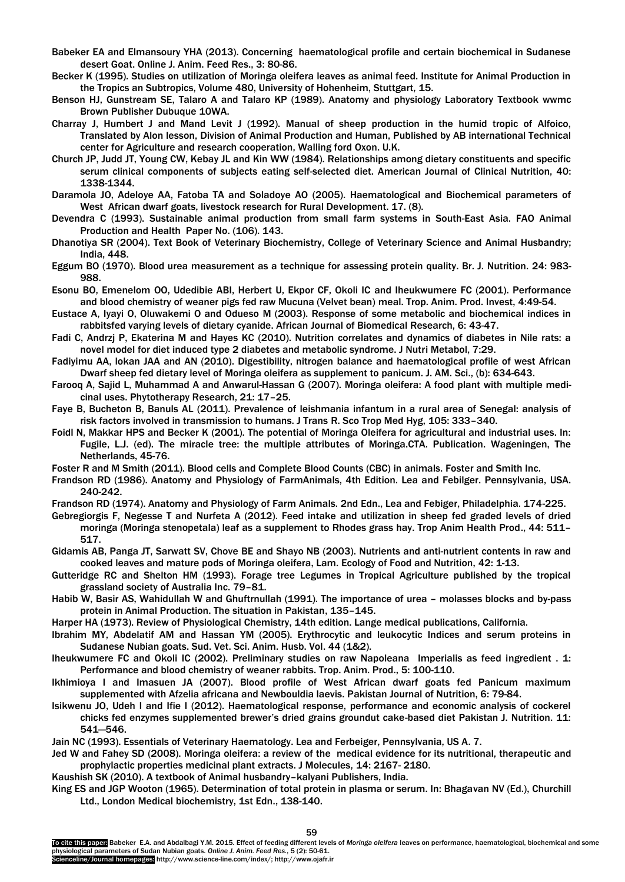- Babeker EA and Elmansoury YHA (2013). Concerning haematological profile and certain biochemical in Sudanese desert Goat. Online J. Anim. Feed Res., 3: 80-86.
- Becker K (1995). Studies on utilization of Moringa oleifera leaves as animal feed. Institute for Animal Production in the Tropics an Subtropics, Volume 480, University of Hohenheim, Stuttgart, 15.
- Benson HJ, Gunstream SE, Talaro A and Talaro KP (1989). Anatomy and physiology Laboratory Textbook wwmc Brown Publisher Dubuque 10WA.
- Charray J, Humbert J and Mand Levit J (1992). Manual of sheep production in the humid tropic of Alfoico, Translated by Alon lesson, Division of Animal Production and Human, Published by AB international Technical center for Agriculture and research cooperation, Walling ford Oxon. U.K.
- Church JP, Judd JT, Young CW, Kebay JL and Kin WW (1984). Relationships among dietary constituents and specific serum clinical components of subjects eating self-selected diet. American Journal of Clinical Nutrition, 40: 1338-1344.
- Daramola JO, Adeloye AA, Fatoba TA and Soladoye AO (2005). Haematological and Biochemical parameters of West African dwarf goats, livestock research for Rural Development. 17. (8).
- Devendra C (1993). Sustainable animal production from small farm systems in South-East Asia. FAO Animal Production and Health Paper No. (106). 143.
- Dhanotiya SR (2004). Text Book of Veterinary Biochemistry, College of Veterinary Science and Animal Husbandry; India, 448.
- Eggum BO (1970). Blood urea measurement as a technique for assessing protein quality. Br. J. Nutrition. 24: 983- 988.
- Esonu BO, Emenelom OO, Udedibie ABI, Herbert U, Ekpor CF, Okoli IC and Iheukwumere FC (2001). Performance and blood chemistry of weaner pigs fed raw Mucuna (Velvet bean) meal. Trop. Anim. Prod. Invest, 4:49-54.
- Eustace A, Iyayi O, Oluwakemi O and Odueso M (2003). Response of some metabolic and biochemical indices in rabbitsfed varying levels of dietary cyanide. African Journal of Biomedical Research, 6: 43-47.
- Fadi C, Andrzj P, Ekaterina M and Hayes KC (2010). Nutrition correlates and dynamics of diabetes in Nile rats: a novel model for diet induced type 2 diabetes and metabolic syndrome. J Nutri Metabol, 7:29.
- Fadiyimu AA, lokan JAA and AN (2010). Digestibility, nitrogen balance and haematological profile of west African Dwarf sheep fed dietary level of Moringa oleifera as supplement to panicum. J. AM. Sci., (b): 634-643.
- Farooq A, Sajid L, Muhammad A and Anwarul-Hassan G (2007). Moringa oleifera: A food plant with multiple medicinal uses. Phytotherapy Research, 21: 17–25.
- Faye B, Bucheton B, Banuls AL (2011). Prevalence of leishmania infantum in a rural area of Senegal: analysis of risk factors involved in transmission to humans. J Trans R. Sco Trop Med Hyg, 105: 333–340.
- Foidl N, Makkar HPS and Becker K (2001). The potential of Moringa Oleifera for agricultural and industrial uses. In: Fugile, L.J. (ed). The miracle tree: the multiple attributes of Moringa.CTA. Publication. Wageningen, The Netherlands, 45-76.
- Foster R and M Smith (2011). Blood cells and Complete Blood Counts (CBC) in animals. Foster and Smith Inc.
- Frandson RD (1986). Anatomy and Physiology of FarmAnimals, 4th Edition. Lea and Febilger. Pennsylvania, USA. 240-242.
- Frandson RD (1974). Anatomy and Physiology of Farm Animals. 2nd Edn., Lea and Febiger, Philadelphia. 174-225.
- Gebregiorgis F, Negesse T and Nurfeta A (2012). Feed intake and utilization in sheep fed graded levels of dried moringa (Moringa stenopetala) leaf as a supplement to Rhodes grass hay. Trop Anim Health Prod., 44: 511– 517.
- Gidamis AB, Panga JT, Sarwatt SV, Chove BE and Shayo NB (2003). Nutrients and anti-nutrient contents in raw and cooked leaves and mature pods of Moringa oleifera, Lam. Ecology of Food and Nutrition, 42: 1-13.
- Gutteridge RC and Shelton HM (1993). Forage tree Legumes in Tropical Agriculture published by the tropical grassland society of Australia Inc. 79–81.
- Habib W, Basir AS, Wahidullah W and Ghuftrnullah (1991). The importance of urea molasses blocks and by-pass protein in Animal Production. The situation in Pakistan, 135–145.
- Harper HA (1973). Review of Physiological Chemistry, 14th edition. Lange medical publications, California.
- Ibrahim MY, Abdelatif AM and Hassan YM (2005). Erythrocytic and leukocytic Indices and serum proteins in Sudanese Nubian goats. Sud. Vet. Sci. Anim. Husb. Vol. 44 (1&2).
- Iheukwumere FC and Okoli IC (2002). Preliminary studies on raw Napoleana Imperialis as feed ingredient . 1: Performance and blood chemistry of weaner rabbits. Trop. Anim. Prod., 5: 100-110.
- Ikhimioya I and Imasuen JA (2007). Blood profile of West African dwarf goats fed Panicum maximum supplemented with Afzelia africana and Newbouldia laevis. Pakistan Journal of Nutrition, 6: 79-84.
- Isikwenu JO, Udeh I and Ifie I (2012). Haematological response, performance and economic analysis of cockerel chicks fed enzymes supplemented brewer's dried grains groundut cake-based diet Pakistan J. Nutrition. 11: 541—546.

Jain NC (1993). Essentials of Veterinary Haematology. Lea and Ferbeiger, Pennsylvania, US A. 7.

Jed W and Fahey SD (2008). Moringa oleifera: a review of the medical evidence for its nutritional, therapeutic and prophylactic properties medicinal plant extracts. J Molecules, 14: 2167- 2180.

Kaushish SK (2010). A textbook of Animal husbandry–kalyani Publishers, India.

King ES and JGP Wooton (1965). Determination of total protein in plasma or serum. In: Bhagavan NV (Ed.), Churchill Ltd., London Medical biochemistry, 1st Edn., 138-140.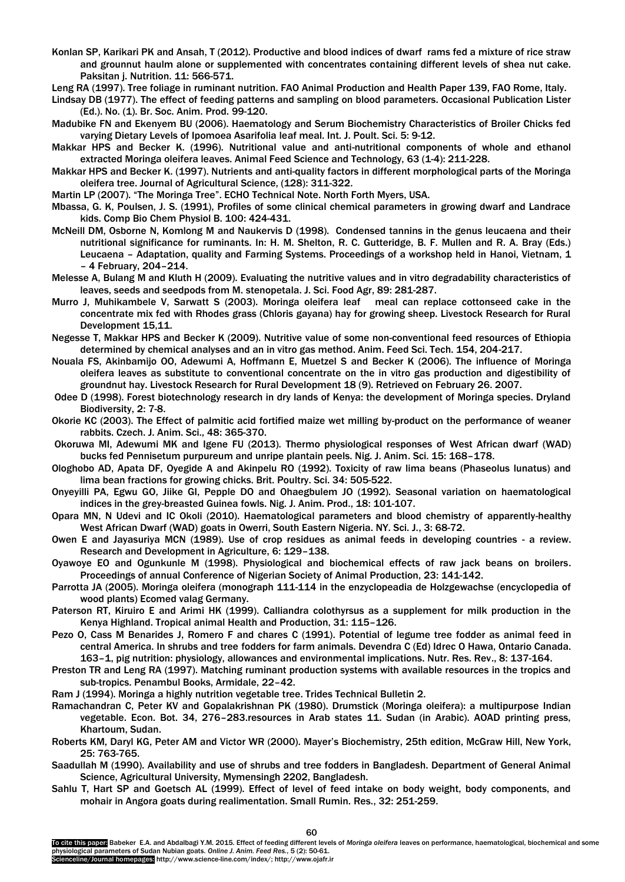- Konlan SP, Karikari PK and Ansah, T (2012). Productive and blood indices of dwarf rams fed a mixture of rice straw and grounnut haulm alone or supplemented with concentrates containing different levels of shea nut cake. Paksitan j. Nutrition. 11: 566-571.
- Leng RA (1997). Tree foliage in ruminant nutrition. FAO Animal Production and Health Paper 139, FAO Rome, Italy.
- Lindsay DB (1977). The effect of feeding patterns and sampling on blood parameters. Occasional Publication Lister (Ed.). No. (1). Br. Soc. Anim. Prod. 99-120.
- Madubike FN and Ekenyem BU (2006). Haematology and Serum Biochemistry Characteristics of Broiler Chicks fed varying Dietary Levels of Ipomoea Asarifolia leaf meal. Int. J. Poult. Sci. 5: 9-12.
- Makkar HPS and Becker K. (1996). Nutritional value and anti-nutritional components of whole and ethanol extracted Moringa oleifera leaves. Animal Feed Science and Technology, 63 (1-4): 211-228.
- Makkar HPS and Becker K. (1997). Nutrients and anti-quality factors in different morphological parts of the Moringa oleifera tree. Journal of Agricultural Science, (128): 311-322.
- Martin LP (2007). "The Moringa Tree". ECHO Technical Note. North Forth Myers, USA.
- Mbassa, G. K, Poulsen, J. S. (1991), Profiles of some clinical chemical parameters in growing dwarf and Landrace kids. Comp Bio Chem Physiol B. 100: 424-431.
- McNeill DM, Osborne N, Komlong M and Naukervis D (1998). Condensed tannins in the genus leucaena and their nutritional significance for ruminants. In: H. M. Shelton, R. C. Gutteridge, B. F. Mullen and R. A. Bray (Eds.) Leucaena – Adaptation, quality and Farming Systems. Proceedings of a workshop held in Hanoi, Vietnam, 1 – 4 February, 204–214.
- Melesse A, Bulang M and Kluth H (2009). Evaluating the nutritive values and in vitro degradability characteristics of leaves, seeds and seedpods from M. stenopetala. J. Sci. Food Agr, 89: 281-287.
- Murro J, Muhikambele V, Sarwatt S (2003). Moringa oleifera leaf meal can replace cottonseed cake in the concentrate mix fed with Rhodes grass (Chloris gayana) hay for growing sheep. Livestock Research for Rural Development 15,11.
- Negesse T, Makkar HPS and Becker K (2009). Nutritive value of some non-conventional feed resources of Ethiopia determined by chemical analyses and an in vitro gas method. Anim. Feed Sci. Tech. 154, 204-217.
- Nouala FS, Akinbamijo OO, Adewumi A, Hoffmann E, Muetzel S and Becker K (2006). The influence of Moringa oleifera leaves as substitute to conventional concentrate on the in vitro gas production and digestibility of groundnut hay. Livestock Research for Rural Development 18 (9). Retrieved on February 26. 2007.
- Odee D (1998). Forest biotechnology research in dry lands of Kenya: the development of Moringa species. Dryland Biodiversity, 2: 7-8.
- Okorie KC (2003). The Effect of palmitic acid fortified maize wet milling by-product on the performance of weaner rabbits. Czech. J. Anim. Sci., 48: 365-370.
- Okoruwa MI, Adewumi MK and Igene FU (2013). Thermo physiological responses of West African dwarf (WAD) bucks fed Pennisetum purpureum and unripe plantain peels. Nig. J. Anim. Sci. 15: 168–178.
- Ologhobo AD, Apata DF, Oyegide A and Akinpelu RO (1992). Toxicity of raw lima beans (Phaseolus lunatus) and lima bean fractions for growing chicks. Brit. Poultry. Sci. 34: 505-522.
- Onyeyilli PA, Egwu GO, Jiike GI, Pepple DO and Ohaegbulem JO (1992). Seasonal variation on haematological indices in the grey-breasted Guinea fowls. Nig. J. Anim. Prod., 18: 101-107.
- Opara MN, N Udevi and IC Okoli (2010). Haematological parameters and blood chemistry of apparently-healthy West African Dwarf (WAD) goats in Owerri, South Eastern Nigeria. NY. Sci. J., 3: 68-72.
- Owen E and Jayasuriya MCN (1989). Use of crop residues as animal feeds in developing countries a review. Research and Development in Agriculture, 6: 129–138.
- Oyawoye EO and Ogunkunle M (1998). Physiological and biochemical effects of raw jack beans on broilers. Proceedings of annual Conference of Nigerian Society of Animal Production, 23: 141-142.
- Parrotta JA (2005). Moringa oleifera (monograph 111-114 in the enzyclopeadia de Holzgewachse (encyclopedia of wood plants) Ecomed valag Germany.
- Paterson RT, Kiruiro E and Arimi HK (1999). Calliandra colothyrsus as a supplement for milk production in the Kenya Highland. Tropical animal Health and Production, 31: 115–126.
- Pezo O, Cass M Benarides J, Romero F and chares C (1991). Potential of legume tree fodder as animal feed in central America. In shrubs and tree fodders for farm animals. Devendra C (Ed) Idrec O Hawa, Ontario Canada. 163–1, pig nutrition: physiology, allowances and environmental implications. Nutr. Res. Rev., 8: 137-164.
- Preston TR and Leng RA (1997). Matching ruminant production systems with available resources in the tropics and sub-tropics. Penambul Books, Armidale, 22–42.
- Ram J (1994). Moringa a highly nutrition vegetable tree. Trides Technical Bulletin 2.
- Ramachandran C, Peter KV and Gopalakrishnan PK (1980). Drumstick (Moringa oleifera): a multipurpose Indian vegetable. Econ. Bot. 34, 276–283.resources in Arab states 11. Sudan (in Arabic). AOAD printing press, Khartoum, Sudan.
- Roberts KM, Daryl KG, Peter AM and Victor WR (2000). Mayer's Biochemistry, 25th edition, McGraw Hill, New York, 25: 763-765.
- Saadullah M (1990). Availability and use of shrubs and tree fodders in Bangladesh. Department of General Animal Science, Agricultural University, Mymensingh 2202, Bangladesh.
- Sahlu T, Hart SP and Goetsch AL (1999). Effect of level of feed intake on body weight, body components, and mohair in Angora goats during realimentation. Small Rumin. Res., 32: 251-259.